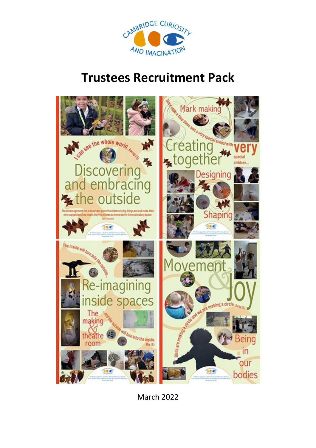

# **Trustees Recruitment Pack**



March 2022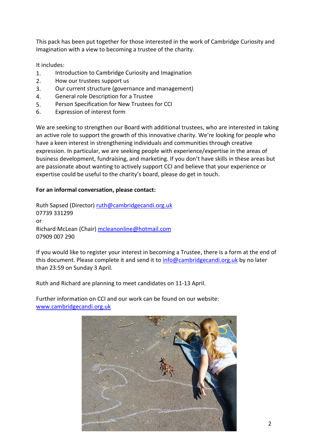This pack has been put together for those interested in the work of Cambridge Curiosity and Imagination with a view to becoming a trustee of the charity.

It includes:

- 1. Introduction to Cambridge Curiosity and Imagination
- 2. How our trustees support us
- 3. Our current structure (governance and management)
- 4. General role Description for a Trustee
- 5. Person Specification for New Trustees for CCI
- 6. Expression of interest form

We are seeking to strengthen our Board with additional trustees, who are interested in taking an active role to support the growth of this innovative charity. We're looking for people who have a keen interest in strengthening individuals and communities through creative expression. In particular, we are seeking people with experience/expertise in the areas of business development, fundraising, and marketing. If you don't have skills in these areas but are passionate about wanting to actively support CCI and believe that your experience or expertise could be useful to the charity's board, please do get in touch.

# **For an informal conversation, please contact:**

Ruth Sapsed (Director) [ruth@cambridgecandi.org.uk](mailto:ruth@cambridgecandi.org.uk) 07739 331299 or Richard McLean (Chair) [mcleanonline@hotmail.com](mailto:mcleanonline@hotmail.com) 07909 007 290

If you would like to register your interest in becoming a Trustee, there is a form at the end of this document. Please complete it and send it to [info@cambridgecandi.org.uk](mailto:info@cambridgecandi.org.uk) by no later than 23:59 on Sunday 3 April.

Ruth and Richard are planning to meet candidates on 11-13 April.

Further information on CCI and our work can be found on our website: [www.cambridgecandi.org.uk](http://www.cambridgecandi.org.uk/)

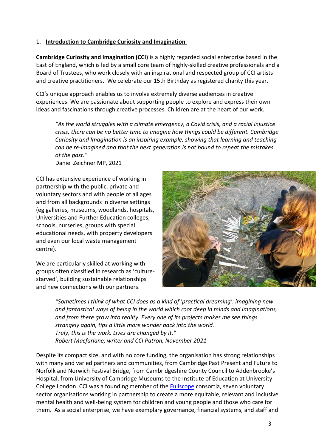#### 1. **Introduction to Cambridge Curiosity and Imagination**

**Cambridge Curiosity and Imagination (CCI)** is a highly regarded social enterprise based in the East of England, which is led by a small core team of highly-skilled creative professionals and a Board of Trustees, who work closely with an inspirational and respected group of CCI artists and creative practitioners. We celebrate our 15th Birthday as registered charity this year.

CCI's unique approach enables us to involve extremely diverse audiences in creative experiences. We are passionate about supporting people to explore and express their own ideas and fascinations through creative processes. Children are at the heart of our work.

*"As the world struggles with a climate emergency, a Covid crisis, and a racial injustice crisis, there can be no better time to imagine how things could be different. Cambridge Curiosity and Imagination is an inspiring example, showing that learning and teaching can be re-imagined and that the next generation is not bound to repeat the mistakes of the past."*

Daniel Zeichner MP, 2021

CCI has extensive experience of working in partnership with the public, private and voluntary sectors and with people of all ages and from all backgrounds in diverse settings (eg galleries, museums, woodlands, hospitals, Universities and Further Education colleges, schools, nurseries, groups with special educational needs, with property developers and even our local waste management centre).

We are particularly skilled at working with groups often classified in research as 'culturestarved', building sustainable relationships and new connections with our partners.



*"Sometimes I think of what CCI does as a kind of 'practical dreaming': imagining new and fantastical ways of being in the world which root deep in minds and imaginations, and from there grow into reality. Every one of its projects makes me see things strangely again, tips a little more wonder back into the world. Truly, this is the work. Lives are changed by it." Robert Macfarlane, writer and CCI Patron, November 2021*

Despite its compact size, and with no core funding, the organisation has strong relationships with many and varied partners and communities, from Cambridge Past Present and Future to Norfolk and Norwich Festival Bridge, from Cambridgeshire County Council to Addenbrooke's Hospital, from University of Cambridge Museums to the Institute of Education at University College London. CCI was a founding member of the **Fullscope** consortia, seven voluntary sector organisations working in partnership to create a more equitable, relevant and inclusive mental health and well-being system for children and young people and those who care for them. As a social enterprise, we have exemplary governance, financial systems, and staff and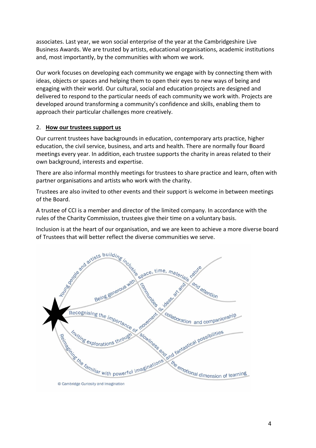associates. Last year, we won social enterprise of the year at the Cambridgeshire Live Business Awards. We are trusted by artists, educational organisations, academic institutions and, most importantly, by the communities with whom we work.

Our work focuses on developing each community we engage with by connecting them with ideas, objects or spaces and helping them to open their eyes to new ways of being and engaging with their world. Our cultural, social and education projects are designed and delivered to respond to the particular needs of each community we work with. Projects are developed around transforming a community's confidence and skills, enabling them to approach their particular challenges more creatively.

## 2. **How our trustees support us**

Our current trustees have backgrounds in education, contemporary arts practice, higher education, the civil service, business, and arts and health. There are normally four Board meetings every year. In addition, each trustee supports the charity in areas related to their own background, interests and expertise.

There are also informal monthly meetings for trustees to share practice and learn, often with partner organisations and artists who work with the charity.

Trustees are also invited to other events and their support is welcome in between meetings of the Board.

A trustee of CCI is a member and director of the limited company. In accordance with the rules of the Charity Commission, trustees give their time on a voluntary basis.

Inclusion is at the heart of our organisation, and we are keen to achieve a more diverse board

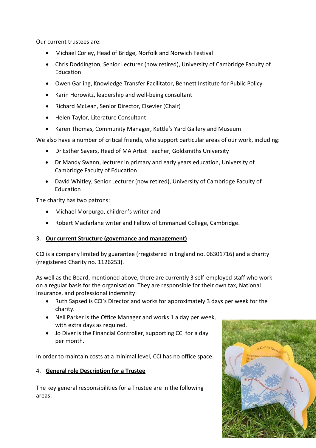Our current trustees are:

- Michael Corley, Head of Bridge, Norfolk and Norwich Festival
- Chris Doddington, Senior Lecturer (now retired), University of Cambridge Faculty of Education
- Owen Garling, Knowledge Transfer Facilitator, Bennett Institute for Public Policy
- Karin Horowitz, leadership and well-being consultant
- Richard McLean, Senior Director, Elsevier (Chair)
- Helen Taylor, Literature Consultant
- Karen Thomas, Community Manager, Kettle's Yard Gallery and Museum

We also have a number of critical friends, who support particular areas of our work, including:

- Dr Esther Sayers, Head of MA Artist Teacher, Goldsmiths University
- Dr Mandy Swann, lecturer in primary and early years education, University of Cambridge Faculty of Education
- David Whitley, Senior Lecturer (now retired), University of Cambridge Faculty of Education

The charity has two patrons:

- Michael Morpurgo, children's writer and
- Robert Macfarlane writer and Fellow of Emmanuel College, Cambridge.

## 3. **Our current Structure (governance and management)**

CCI is a company limited by guarantee (rregistered in England no. 06301716) and a charity (rregistered Charity no. 1126253).

As well as the Board, mentioned above, there are currently 3 self-employed staff who work on a regular basis for the organisation. They are responsible for their own tax, National Insurance, and professional indemnity:

- Ruth Sapsed is CCI's Director and works for approximately 3 days per week for the charity.
- Neil Parker is the Office Manager and works 1 a day per week, with extra days as required.
- Jo Diver is the Financial Controller, supporting CCI for a day per month.

In order to maintain costs at a minimal level, CCI has no office space.

## 4. **General role Description for a Trustee**

The key general responsibilities for a Trustee are in the following areas:

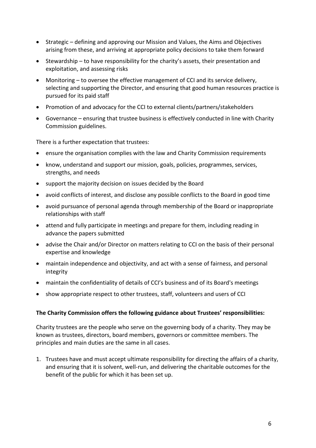- Strategic defining and approving our Mission and Values, the Aims and Objectives arising from these, and arriving at appropriate policy decisions to take them forward
- Stewardship to have responsibility for the charity's assets, their presentation and exploitation, and assessing risks
- Monitoring to oversee the effective management of CCI and its service delivery, selecting and supporting the Director, and ensuring that good human resources practice is pursued for its paid staff
- Promotion of and advocacy for the CCI to external clients/partners/stakeholders
- Governance ensuring that trustee business is effectively conducted in line with Charity Commission guidelines.

There is a further expectation that trustees:

- ensure the organisation complies with the law and Charity Commission requirements
- know, understand and support our mission, goals, policies, programmes, services, strengths, and needs
- support the majority decision on issues decided by the Board
- avoid conflicts of interest, and disclose any possible conflicts to the Board in good time
- avoid pursuance of personal agenda through membership of the Board or inappropriate relationships with staff
- attend and fully participate in meetings and prepare for them, including reading in advance the papers submitted
- advise the Chair and/or Director on matters relating to CCI on the basis of their personal expertise and knowledge
- maintain independence and objectivity, and act with a sense of fairness, and personal integrity
- maintain the confidentiality of details of CCI's business and of its Board's meetings
- show appropriate respect to other trustees, staff, volunteers and users of CCI

#### **The Charity Commission offers the following guidance about Trustees' responsibilities:**

Charity trustees are the people who serve on the governing body of a charity. They may be known as trustees, directors, board members, governors or committee members. The principles and main duties are the same in all cases.

1. Trustees have and must accept ultimate responsibility for directing the affairs of a charity, and ensuring that it is solvent, well-run, and delivering the charitable outcomes for the benefit of the public for which it has been set up.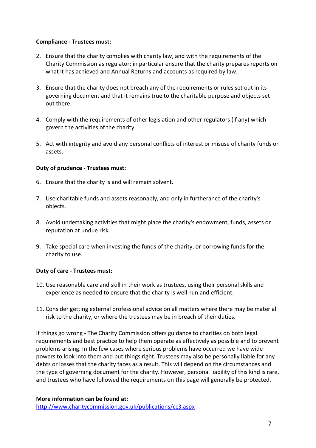#### **Compliance - Trustees must:**

- 2. Ensure that the charity complies with charity law, and with the requirements of the Charity Commission as regulator; in particular ensure that the charity prepares reports on what it has achieved and Annual Returns and accounts as required by law.
- 3. Ensure that the charity does not breach any of the requirements or rules set out in its governing document and that it remains true to the charitable purpose and objects set out there.
- 4. Comply with the requirements of other legislation and other regulators (if any) which govern the activities of the charity.
- 5. Act with integrity and avoid any personal conflicts of interest or misuse of charity funds or assets.

#### **Duty of prudence - Trustees must:**

- 6. Ensure that the charity is and will remain solvent.
- 7. Use charitable funds and assets reasonably, and only in furtherance of the charity's objects.
- 8. Avoid undertaking activities that might place the charity's endowment, funds, assets or reputation at undue risk.
- 9. Take special care when investing the funds of the charity, or borrowing funds for the charity to use.

## **Duty of care - Trustees must:**

- 10. Use reasonable care and skill in their work as trustees, using their personal skills and experience as needed to ensure that the charity is well-run and efficient.
- 11. Consider getting external professional advice on all matters where there may be material risk to the charity, or where the trustees may be in breach of their duties.

If things go wrong - The Charity Commission offers guidance to charities on both legal requirements and best practice to help them operate as effectively as possible and to prevent problems arising. In the few cases where serious problems have occurred we have wide powers to look into them and put things right. Trustees may also be personally liable for any debts or losses that the charity faces as a result. This will depend on the circumstances and the type of governing document for the charity. However, personal liability of this kind is rare, and trustees who have followed the requirements on this page will generally be protected.

#### **More information can be found at:**

<http://www.charitycommission.gov.uk/publications/cc3.aspx>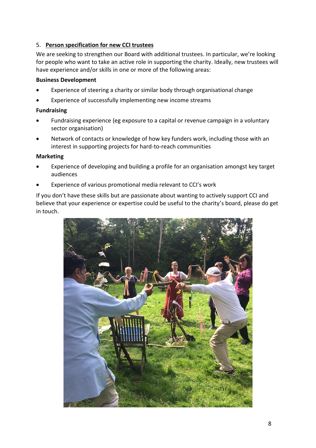## 5. **Person specification for new CCI trustees**

We are seeking to strengthen our Board with additional trustees. In particular, we're looking for people who want to take an active role in supporting the charity. Ideally, new trustees will have experience and/or skills in one or more of the following areas:

#### **Business Development**

- Experience of steering a charity or similar body through organisational change
- Experience of successfully implementing new income streams

#### **Fundraising**

- Fundraising experience (eg exposure to a capital or revenue campaign in a voluntary sector organisation)
- Network of contacts or knowledge of how key funders work, including those with an interest in supporting projects for hard-to-reach communities

#### **Marketing**

- Experience of developing and building a profile for an organisation amongst key target audiences
- Experience of various promotional media relevant to CCI's work

If you don't have these skills but are passionate about wanting to actively support CCI and believe that your experience or expertise could be useful to the charity's board, please do get in touch.

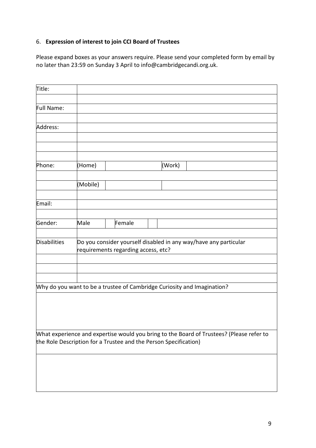# 6. **Expression of interest to join CCI Board of Trustees**

Please expand boxes as your answers require. Please send your completed form by email by no later than 23:59 on Sunday 3 April to info@cambridgecandi.org.uk.

| Title:              |                                                                                                         |                                                                  |        |                                                                                          |  |
|---------------------|---------------------------------------------------------------------------------------------------------|------------------------------------------------------------------|--------|------------------------------------------------------------------------------------------|--|
|                     |                                                                                                         |                                                                  |        |                                                                                          |  |
| Full Name:          |                                                                                                         |                                                                  |        |                                                                                          |  |
| Address:            |                                                                                                         |                                                                  |        |                                                                                          |  |
|                     |                                                                                                         |                                                                  |        |                                                                                          |  |
|                     |                                                                                                         |                                                                  |        |                                                                                          |  |
|                     |                                                                                                         |                                                                  |        |                                                                                          |  |
| Phone:              | (Home)                                                                                                  |                                                                  | (Work) |                                                                                          |  |
|                     |                                                                                                         |                                                                  |        |                                                                                          |  |
|                     | (Mobile)                                                                                                |                                                                  |        |                                                                                          |  |
| Email:              |                                                                                                         |                                                                  |        |                                                                                          |  |
|                     |                                                                                                         |                                                                  |        |                                                                                          |  |
| Gender:             | Male                                                                                                    | Female                                                           |        |                                                                                          |  |
|                     |                                                                                                         |                                                                  |        |                                                                                          |  |
| <b>Disabilities</b> | Do you consider yourself disabled in any way/have any particular<br>requirements regarding access, etc? |                                                                  |        |                                                                                          |  |
|                     |                                                                                                         |                                                                  |        |                                                                                          |  |
|                     |                                                                                                         |                                                                  |        |                                                                                          |  |
|                     |                                                                                                         |                                                                  |        |                                                                                          |  |
|                     |                                                                                                         |                                                                  |        | Why do you want to be a trustee of Cambridge Curiosity and Imagination?                  |  |
|                     |                                                                                                         |                                                                  |        |                                                                                          |  |
|                     |                                                                                                         |                                                                  |        |                                                                                          |  |
|                     |                                                                                                         |                                                                  |        |                                                                                          |  |
|                     |                                                                                                         |                                                                  |        | What experience and expertise would you bring to the Board of Trustees? (Please refer to |  |
|                     |                                                                                                         | the Role Description for a Trustee and the Person Specification) |        |                                                                                          |  |
|                     |                                                                                                         |                                                                  |        |                                                                                          |  |
|                     |                                                                                                         |                                                                  |        |                                                                                          |  |
|                     |                                                                                                         |                                                                  |        |                                                                                          |  |
|                     |                                                                                                         |                                                                  |        |                                                                                          |  |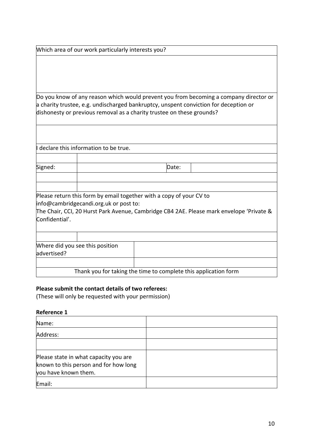Which area of our work particularly interests you?

Do you know of any reason which would prevent you from becoming a company director or a charity trustee, e.g. undischarged bankruptcy, unspent conviction for deception or dishonesty or previous removal as a charity trustee on these grounds?

|                                                | I declare this information to be true.                                                                        |       |                                                                                          |
|------------------------------------------------|---------------------------------------------------------------------------------------------------------------|-------|------------------------------------------------------------------------------------------|
|                                                |                                                                                                               |       |                                                                                          |
| Signed:                                        |                                                                                                               | Date: |                                                                                          |
|                                                |                                                                                                               |       |                                                                                          |
|                                                |                                                                                                               |       |                                                                                          |
| Confidential'.                                 | Please return this form by email together with a copy of your CV to<br>info@cambridgecandi.org.uk or post to: |       | The Chair, CCI, 20 Hurst Park Avenue, Cambridge CB4 2AE. Please mark envelope 'Private & |
|                                                |                                                                                                               |       |                                                                                          |
| Where did you see this position<br>advertised? |                                                                                                               |       |                                                                                          |
|                                                |                                                                                                               |       |                                                                                          |
|                                                | Thank you for taking the time to complete this application form                                               |       |                                                                                          |

## **Please submit the contact details of two referees:**

(These will only be requested with your permission)

# **Reference 1**

| Name:                                                                                                  |  |
|--------------------------------------------------------------------------------------------------------|--|
| Address:                                                                                               |  |
|                                                                                                        |  |
| Please state in what capacity you are<br>known to this person and for how long<br>you have known them. |  |
| Email:                                                                                                 |  |